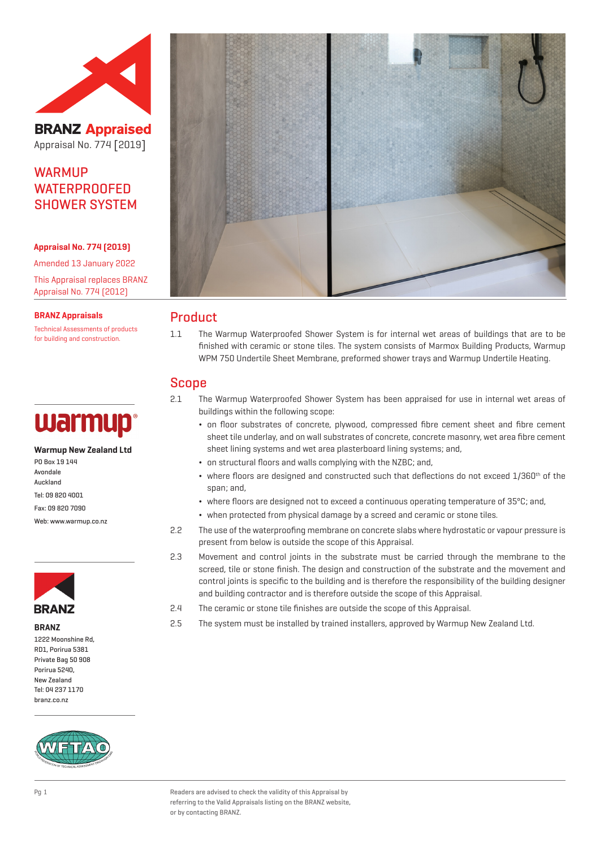

**BRANZ Appraised** Appraisal No. 774 [2019]

# **WARMIIP WATERPROOFED** SHOWER SYSTEM

#### **Appraisal No. 774 (2019)**

Amended 13 January 2022 This Appraisal replaces BRANZ Appraisal No. 774 (2012)

**BRANZ Appraisals**

Technical Assessments of products for building and construction.

# warmup

#### **Warmup New Zealand Ltd**

PO Box 19 144 Avondale Auckland Tel: 09 820 4001 Fax: 09 820 7090 Web: www.warmup.co.nz

**BRANZ** 

**BRANZ**

1222 Moonshine Rd, RD1, Porirua 5381 Private Bag 50 908 Porirua 5240, New Zealand Tel: 04 237 1170 branz.co.nz





## Product

1.1 The Warmup Waterproofed Shower System is for internal wet areas of buildings that are to be finished with ceramic or stone tiles. The system consists of Marmox Building Products, Warmup WPM 750 Undertile Sheet Membrane, preformed shower trays and Warmup Undertile Heating.

# Scope

- 2.1 The Warmup Waterproofed Shower System has been appraised for use in internal wet areas of buildings within the following scope:
	- ¬ on floor substrates of concrete, plywood, compressed fibre cement sheet and fibre cement sheet tile underlay, and on wall substrates of concrete, concrete masonry, wet area fibre cement sheet lining systems and wet area plasterboard lining systems; and,
	- ¬ on structural floors and walls complying with the NZBC; and,
	- $\bullet$  where floors are designed and constructed such that deflections do not exceed  $1/360^{\text{th}}$  of the span; and,
	- ¬ where floors are designed not to exceed a continuous operating temperature of 35ºC; and,
	- ¬ when protected from physical damage by a screed and ceramic or stone tiles.
- 2.2 The use of the waterproofing membrane on concrete slabs where hydrostatic or vapour pressure is present from below is outside the scope of this Appraisal.
- 2.3 Movement and control joints in the substrate must be carried through the membrane to the screed, tile or stone finish. The design and construction of the substrate and the movement and control joints is specific to the building and is therefore the responsibility of the building designer and building contractor and is therefore outside the scope of this Appraisal.
- 2.4 The ceramic or stone tile finishes are outside the scope of this Appraisal.
- 2.5 The system must be installed by trained installers, approved by Warmup New Zealand Ltd.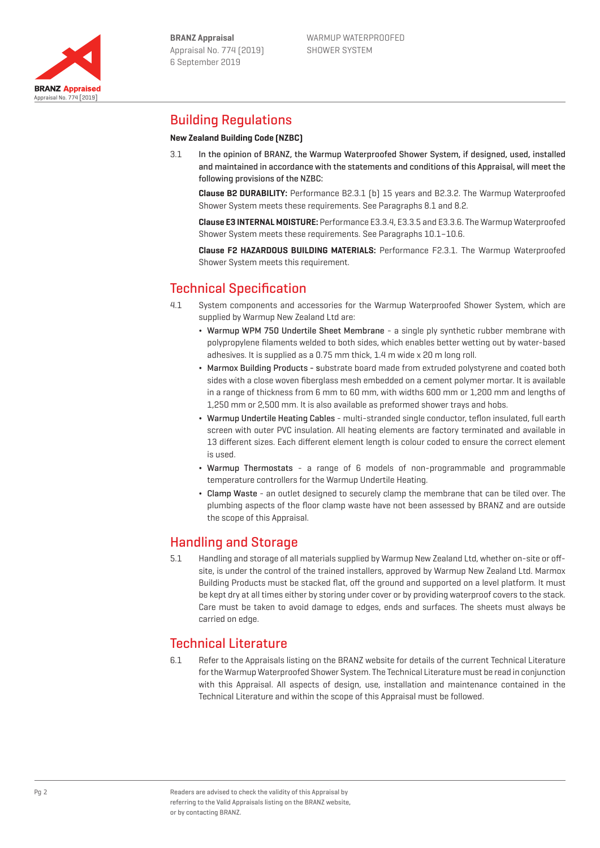



# Building Regulations

## **New Zealand Building Code (NZBC)**

3.1 In the opinion of BRANZ, the Warmup Waterproofed Shower System, if designed, used, installed and maintained in accordance with the statements and conditions of this Appraisal, will meet the following provisions of the NZBC:

**Clause B2 DURABILITY:** Performance B2.3.1 (b) 15 years and B2.3.2. The Warmup Waterproofed Shower System meets these requirements. See Paragraphs 8.1 and 8.2.

**Clause E3 INTERNAL MOISTURE:** Performance E3.3.4, E3.3.5 and E3.3.6. The Warmup Waterproofed Shower System meets these requirements. See Paragraphs 10.1–10.6.

**Clause F2 HAZARDOUS BUILDING MATERIALS:** Performance F2.3.1. The Warmup Waterproofed Shower System meets this requirement.

# Technical Specification

- 4.1 System components and accessories for the Warmup Waterproofed Shower System, which are supplied by Warmup New Zealand Ltd are:
	- ¬ Warmup WPM 750 Undertile Sheet Membrane a single ply synthetic rubber membrane with polypropylene filaments welded to both sides, which enables better wetting out by water-based adhesives. It is supplied as a 0.75 mm thick, 1.4 m wide x 20 m long roll.
	- ¬ Marmox Building Products substrate board made from extruded polystyrene and coated both sides with a close woven fiberglass mesh embedded on a cement polymer mortar. It is available in a range of thickness from 6 mm to 60 mm, with widths 600 mm or 1,200 mm and lengths of 1,250 mm or 2,500 mm. It is also available as preformed shower trays and hobs.
	- ¬ Warmup Undertile Heating Cables multi-stranded single conductor, teflon insulated, full earth screen with outer PVC insulation. All heating elements are factory terminated and available in 13 different sizes. Each different element length is colour coded to ensure the correct element is used.
	- ¬ Warmup Thermostats a range of 6 models of non-programmable and programmable temperature controllers for the Warmup Undertile Heating.
	- ¬ Clamp Waste an outlet designed to securely clamp the membrane that can be tiled over. The plumbing aspects of the floor clamp waste have not been assessed by BRANZ and are outside the scope of this Appraisal.

# Handling and Storage

5.1 Handling and storage of all materials supplied by Warmup New Zealand Ltd, whether on-site or offsite, is under the control of the trained installers, approved by Warmup New Zealand Ltd. Marmox Building Products must be stacked flat, off the ground and supported on a level platform. It must be kept dry at all times either by storing under cover or by providing waterproof covers to the stack. Care must be taken to avoid damage to edges, ends and surfaces. The sheets must always be carried on edge.

# Technical Literature

6.1 Refer to the Appraisals listing on the BRANZ website for details of the current Technical Literature for the Warmup Waterproofed Shower System. The Technical Literature must be read in conjunction with this Appraisal. All aspects of design, use, installation and maintenance contained in the Technical Literature and within the scope of this Appraisal must be followed.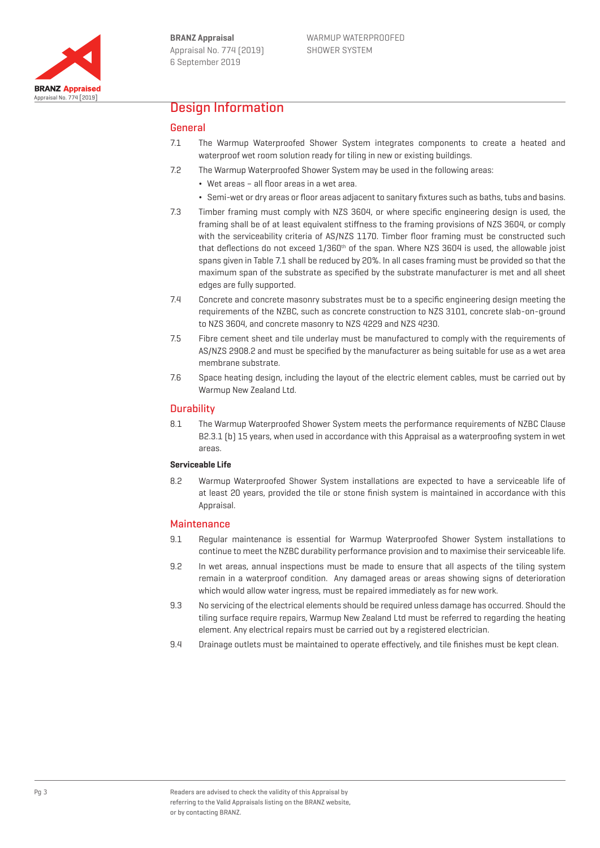

## Design Information

## General

- 7.1 The Warmup Waterproofed Shower System integrates components to create a heated and waterproof wet room solution ready for tiling in new or existing buildings.
- 7.2 The Warmup Waterproofed Shower System may be used in the following areas:
	- ¬ Wet areas all floor areas in a wet area.
	- ¬ Semi-wet or dry areas or floor areas adjacent to sanitary fixtures such as baths, tubs and basins.
- 7.3 Timber framing must comply with NZS 3604, or where specific engineering design is used, the framing shall be of at least equivalent stiffness to the framing provisions of NZS 3604, or comply with the serviceability criteria of AS/NZS 1170. Timber floor framing must be constructed such that deflections do not exceed 1/360<sup>th</sup> of the span. Where NZS 3604 is used, the allowable joist spans given in Table 7.1 shall be reduced by 20%. In all cases framing must be provided so that the maximum span of the substrate as specified by the substrate manufacturer is met and all sheet edges are fully supported.
- 7.4 Concrete and concrete masonry substrates must be to a specific engineering design meeting the requirements of the NZBC, such as concrete construction to NZS 3101, concrete slab-on-ground to NZS 3604, and concrete masonry to NZS 4229 and NZS 4230.
- 7.5 Fibre cement sheet and tile underlay must be manufactured to comply with the requirements of AS/NZS 2908.2 and must be specified by the manufacturer as being suitable for use as a wet area membrane substrate.
- 7.6 Space heating design, including the layout of the electric element cables, must be carried out by Warmup New Zealand Ltd.

#### **Durability**

8.1 The Warmup Waterproofed Shower System meets the performance requirements of NZBC Clause B2.3.1 (b) 15 years, when used in accordance with this Appraisal as a waterproofing system in wet areas.

#### **Serviceable Life**

8.2 Warmup Waterproofed Shower System installations are expected to have a serviceable life of at least 20 years, provided the tile or stone finish system is maintained in accordance with this Appraisal.

#### **Maintenance**

- 9.1 Regular maintenance is essential for Warmup Waterproofed Shower System installations to continue to meet the NZBC durability performance provision and to maximise their serviceable life.
- 9.2 In wet areas, annual inspections must be made to ensure that all aspects of the tiling system remain in a waterproof condition. Any damaged areas or areas showing signs of deterioration which would allow water ingress, must be repaired immediately as for new work.
- 9.3 No servicing of the electrical elements should be required unless damage has occurred. Should the tiling surface require repairs, Warmup New Zealand Ltd must be referred to regarding the heating element. Any electrical repairs must be carried out by a registered electrician.
- 9.4 Drainage outlets must be maintained to operate effectively, and tile finishes must be kept clean.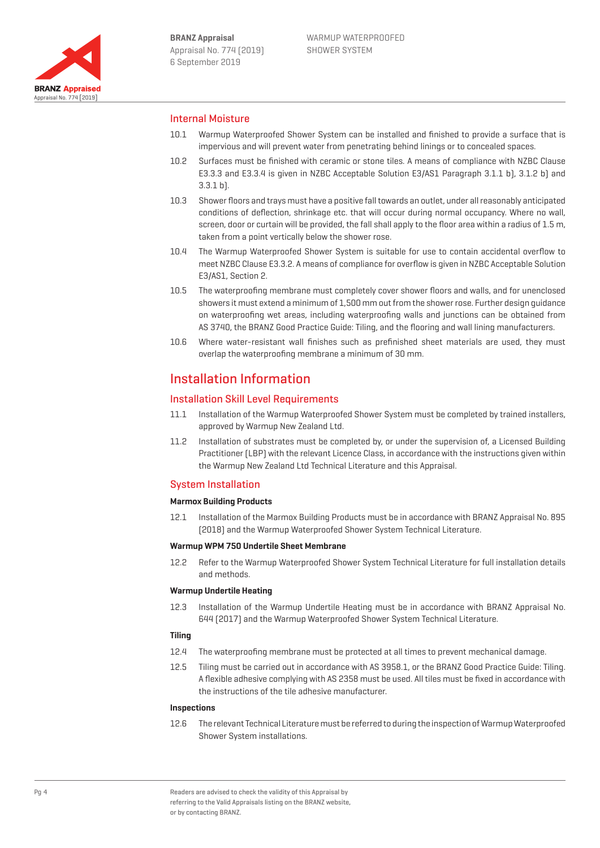

## Internal Moisture

- 10.1 Warmup Waterproofed Shower System can be installed and finished to provide a surface that is impervious and will prevent water from penetrating behind linings or to concealed spaces.
- 10.2 Surfaces must be finished with ceramic or stone tiles. A means of compliance with NZBC Clause E3.3.3 and E3.3.4 is given in NZBC Acceptable Solution E3/AS1 Paragraph 3.1.1 b), 3.1.2 b) and 3.3.1 b).
- 10.3 Shower floors and trays must have a positive fall towards an outlet, under all reasonably anticipated conditions of deflection, shrinkage etc. that will occur during normal occupancy. Where no wall, screen, door or curtain will be provided, the fall shall apply to the floor area within a radius of 1.5 m, taken from a point vertically below the shower rose.
- 10.4 The Warmup Waterproofed Shower System is suitable for use to contain accidental overflow to meet NZBC Clause E3.3.2. A means of compliance for overflow is given in NZBC Acceptable Solution E3/AS1, Section 2.
- 10.5 The waterproofing membrane must completely cover shower floors and walls, and for unenclosed showers it must extend a minimum of 1,500 mm out from the shower rose. Further design guidance on waterproofing wet areas, including waterproofing walls and junctions can be obtained from AS 3740, the BRANZ Good Practice Guide: Tiling, and the flooring and wall lining manufacturers.
- 10.6 Where water-resistant wall finishes such as prefinished sheet materials are used, they must overlap the waterproofing membrane a minimum of 30 mm.

# Installation Information

## Installation Skill Level Requirements

- 11.1 Installation of the Warmup Waterproofed Shower System must be completed by trained installers, approved by Warmup New Zealand Ltd.
- 11.2 Installation of substrates must be completed by, or under the supervision of, a Licensed Building Practitioner (LBP) with the relevant Licence Class, in accordance with the instructions given within the Warmup New Zealand Ltd Technical Literature and this Appraisal.

## System Installation

#### **Marmox Building Products**

12.1 Installation of the Marmox Building Products must be in accordance with BRANZ Appraisal No. 895 (2018) and the Warmup Waterproofed Shower System Technical Literature.

#### **Warmup WPM 750 Undertile Sheet Membrane**

12.2 Refer to the Warmup Waterproofed Shower System Technical Literature for full installation details and methods.

#### **Warmup Undertile Heating**

12.3 Installation of the Warmup Undertile Heating must be in accordance with BRANZ Appraisal No. 644 (2017) and the Warmup Waterproofed Shower System Technical Literature.

#### **Tiling**

- 12.4 The waterproofing membrane must be protected at all times to prevent mechanical damage.
- 12.5 Tiling must be carried out in accordance with AS 3958.1, or the BRANZ Good Practice Guide: Tiling. A flexible adhesive complying with AS 2358 must be used. All tiles must be fixed in accordance with the instructions of the tile adhesive manufacturer.

### **Inspections**

12.6 The relevant Technical Literature must be referred to during the inspection of Warmup Waterproofed Shower System installations.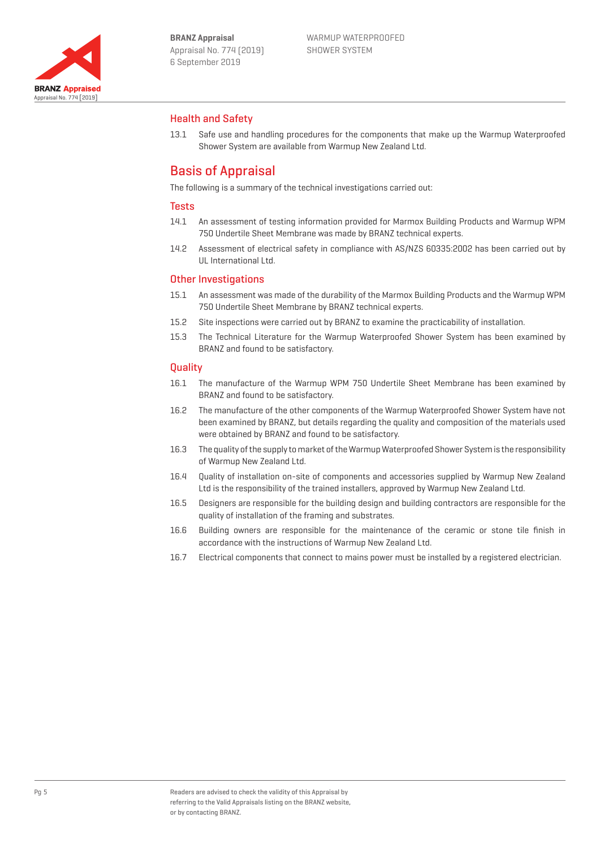

## Health and Safety

13.1 Safe use and handling procedures for the components that make up the Warmup Waterproofed Shower System are available from Warmup New Zealand Ltd.

# Basis of Appraisal

The following is a summary of the technical investigations carried out:

### **Tests**

- 14.1 An assessment of testing information provided for Marmox Building Products and Warmup WPM 750 Undertile Sheet Membrane was made by BRANZ technical experts.
- 14.2 Assessment of electrical safety in compliance with AS/NZS 60335:2002 has been carried out by UL International Ltd.

## Other Investigations

- 15.1 An assessment was made of the durability of the Marmox Building Products and the Warmup WPM 750 Undertile Sheet Membrane by BRANZ technical experts.
- 15.2 Site inspections were carried out by BRANZ to examine the practicability of installation.
- 15.3 The Technical Literature for the Warmup Waterproofed Shower System has been examined by BRANZ and found to be satisfactory.

## **Quality**

- 16.1 The manufacture of the Warmup WPM 750 Undertile Sheet Membrane has been examined by BRANZ and found to be satisfactory.
- 16.2 The manufacture of the other components of the Warmup Waterproofed Shower System have not been examined by BRANZ, but details regarding the quality and composition of the materials used were obtained by BRANZ and found to be satisfactory.
- 16.3 The quality of the supply to market of the Warmup Waterproofed Shower System is the responsibility of Warmup New Zealand Ltd.
- 16.4 Quality of installation on-site of components and accessories supplied by Warmup New Zealand Ltd is the responsibility of the trained installers, approved by Warmup New Zealand Ltd.
- 16.5 Designers are responsible for the building design and building contractors are responsible for the quality of installation of the framing and substrates.
- 16.6 Building owners are responsible for the maintenance of the ceramic or stone tile finish in accordance with the instructions of Warmup New Zealand Ltd.
- 16.7 Electrical components that connect to mains power must be installed by a registered electrician.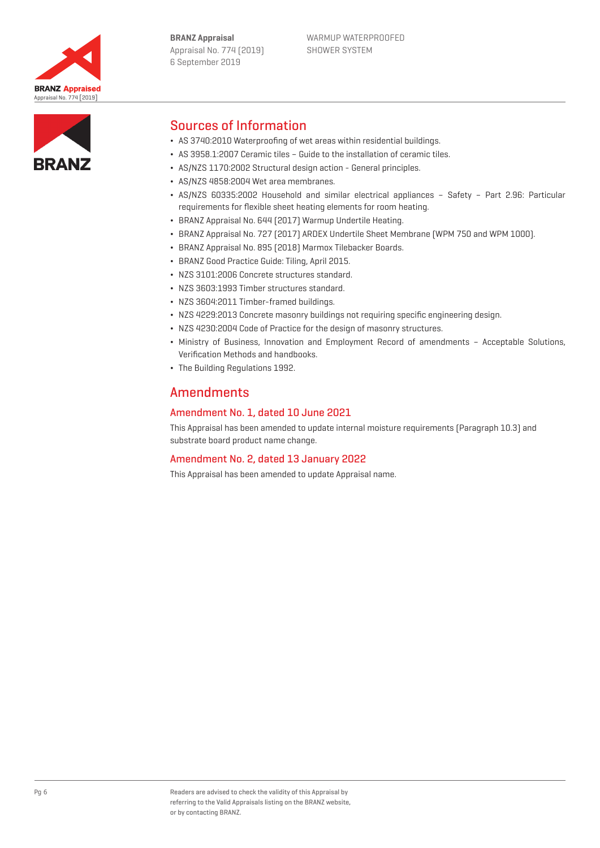



# Sources of Information

- ¬ AS 3740:2010 Waterproofing of wet areas within residential buildings.
- ¬ AS 3958.1:2007 Ceramic tiles Guide to the installation of ceramic tiles.
- ¬ AS/NZS 1170:2002 Structural design action General principles.
- ¬ AS/NZS 4858:2004 Wet area membranes.
- ¬ AS/NZS 60335:2002 Household and similar electrical appliances Safety Part 2.96: Particular requirements for flexible sheet heating elements for room heating.
- ¬ BRANZ Appraisal No. 644 (2017) Warmup Undertile Heating.
- ¬ BRANZ Appraisal No. 727 (2017) ARDEX Undertile Sheet Membrane (WPM 750 and WPM 1000).
- ¬ BRANZ Appraisal No. 895 (2018) Marmox Tilebacker Boards.
- ¬ BRANZ Good Practice Guide: Tiling, April 2015.
- ¬ NZS 3101:2006 Concrete structures standard.
- ¬ NZS 3603:1993 Timber structures standard.
- ¬ NZS 3604:2011 Timber-framed buildings.
- ¬ NZS 4229:2013 Concrete masonry buildings not requiring specific engineering design.
- ¬ NZS 4230:2004 Code of Practice for the design of masonry structures.
- ¬ Ministry of Business, Innovation and Employment Record of amendments Acceptable Solutions, Verification Methods and handbooks.
- ¬ The Building Regulations 1992.

## **Amendments**

## Amendment No. 1, dated 10 June 2021

This Appraisal has been amended to update internal moisture requirements (Paragraph 10.3) and substrate board product name change.

## Amendment No. 2, dated 13 January 2022

This Appraisal has been amended to update Appraisal name.